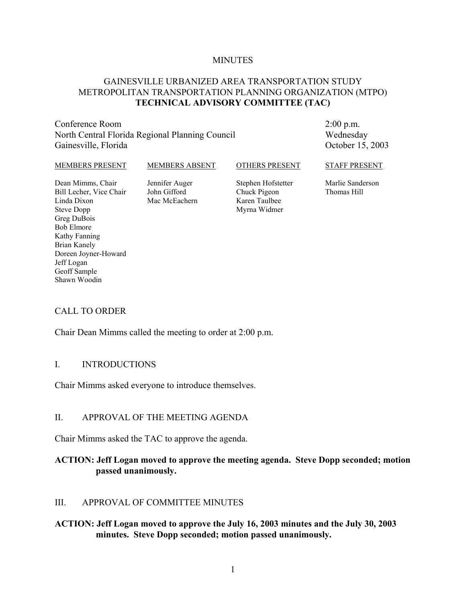#### **MINUTES**

#### GAINESVILLE URBANIZED AREA TRANSPORTATION STUDY METROPOLITAN TRANSPORTATION PLANNING ORGANIZATION (MTPO) **TECHNICAL ADVISORY COMMITTEE (TAC)**

#### Conference Room North Central Florida Regional Planning Council Gainesville, Florida

2:00 p.m. Wednesday October 15, 2003

#### MEMBERS PRESENT Dean Mimms, Chair Bill Lecher, Vice Chair MEMBERS ABSENT Jennifer Auger John Gifford OTHERS PRESENT Stephen Hofstetter Chuck Pigeon STAFF PRESENT Marlie Sanderson Thomas Hill

Linda Dixon Steve Dopp Greg DuBois Bob Elmore Kathy Fanning Brian Kanely Doreen Joyner-Howard Jeff Logan Geoff Sample Shawn Woodin

Mac McEachern

Karen Taulbee Myrna Widmer

CALL TO ORDER

Chair Dean Mimms called the meeting to order at 2:00 p.m.

#### I. INTRODUCTIONS

Chair Mimms asked everyone to introduce themselves.

#### II. APPROVAL OF THE MEETING AGENDA

Chair Mimms asked the TAC to approve the agenda.

#### **ACTION: Jeff Logan moved to approve the meeting agenda. Steve Dopp seconded; motion passed unanimously.**

#### III. APPROVAL OF COMMITTEE MINUTES

#### **ACTION: Jeff Logan moved to approve the July 16, 2003 minutes and the July 30, 2003 minutes. Steve Dopp seconded; motion passed unanimously.**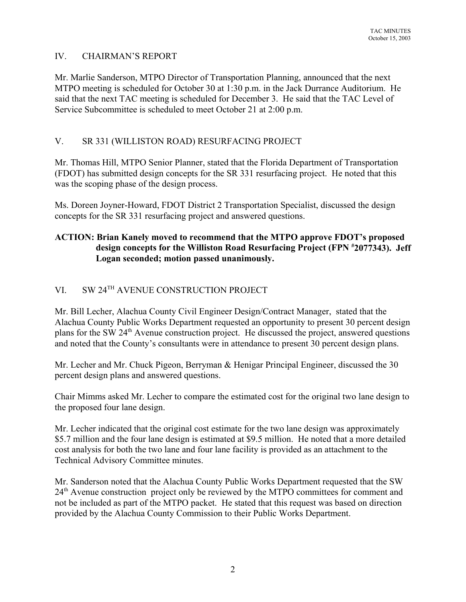## IV. CHAIRMAN'S REPORT

Mr. Marlie Sanderson, MTPO Director of Transportation Planning, announced that the next MTPO meeting is scheduled for October 30 at 1:30 p.m. in the Jack Durrance Auditorium. He said that the next TAC meeting is scheduled for December 3. He said that the TAC Level of Service Subcommittee is scheduled to meet October 21 at 2:00 p.m.

## V. SR 331 (WILLISTON ROAD) RESURFACING PROJECT

Mr. Thomas Hill, MTPO Senior Planner, stated that the Florida Department of Transportation (FDOT) has submitted design concepts for the SR 331 resurfacing project. He noted that this was the scoping phase of the design process.

Ms. Doreen Joyner-Howard, FDOT District 2 Transportation Specialist, discussed the design concepts for the SR 331 resurfacing project and answered questions.

## **ACTION: Brian Kanely moved to recommend that the MTPO approve FDOT's proposed design concepts for the Williston Road Resurfacing Project (FPN # 2077343). Jeff Logan seconded; motion passed unanimously.**

# VI. SW 24TH AVENUE CONSTRUCTION PROJECT

Mr. Bill Lecher, Alachua County Civil Engineer Design/Contract Manager, stated that the Alachua County Public Works Department requested an opportunity to present 30 percent design plans for the SW 24<sup>th</sup> Avenue construction project. He discussed the project, answered questions and noted that the County's consultants were in attendance to present 30 percent design plans.

Mr. Lecher and Mr. Chuck Pigeon, Berryman & Henigar Principal Engineer, discussed the 30 percent design plans and answered questions.

Chair Mimms asked Mr. Lecher to compare the estimated cost for the original two lane design to the proposed four lane design.

Mr. Lecher indicated that the original cost estimate for the two lane design was approximately \$5.7 million and the four lane design is estimated at \$9.5 million. He noted that a more detailed cost analysis for both the two lane and four lane facility is provided as an attachment to the Technical Advisory Committee minutes.

Mr. Sanderson noted that the Alachua County Public Works Department requested that the SW 24<sup>th</sup> Avenue construction project only be reviewed by the MTPO committees for comment and not be included as part of the MTPO packet. He stated that this request was based on direction provided by the Alachua County Commission to their Public Works Department.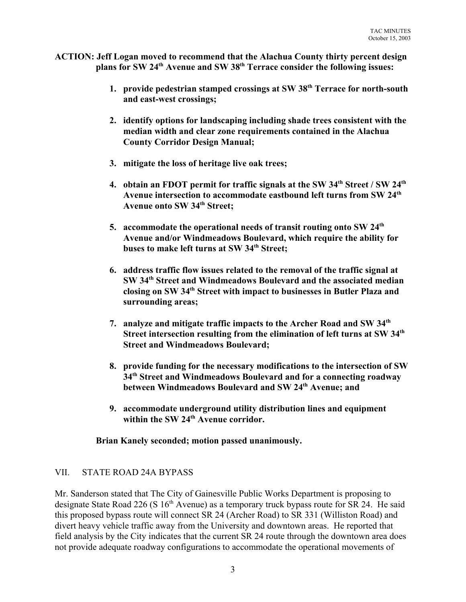- **ACTION: Jeff Logan moved to recommend that the Alachua County thirty percent design plans for SW 24th Avenue and SW 38th Terrace consider the following issues:** 
	- **1. provide pedestrian stamped crossings at SW 38th Terrace for north-south and east-west crossings;**
	- **2. identify options for landscaping including shade trees consistent with the median width and clear zone requirements contained in the Alachua County Corridor Design Manual;**
	- **3. mitigate the loss of heritage live oak trees;**
	- **4. obtain an FDOT permit for traffic signals at the SW 34th Street / SW 24th Avenue intersection to accommodate eastbound left turns from SW 24th Avenue onto SW 34th Street;**
	- **5. accommodate the operational needs of transit routing onto SW 24th Avenue and/or Windmeadows Boulevard, which require the ability for buses to make left turns at SW 34th Street;**
	- **6. address traffic flow issues related to the removal of the traffic signal at SW 34th Street and Windmeadows Boulevard and the associated median closing on SW 34th Street with impact to businesses in Butler Plaza and surrounding areas;**
	- **7. analyze and mitigate traffic impacts to the Archer Road and SW 34th Street intersection resulting from the elimination of left turns at SW 34th Street and Windmeadows Boulevard;**
	- **8. provide funding for the necessary modifications to the intersection of SW 34th Street and Windmeadows Boulevard and for a connecting roadway between Windmeadows Boulevard and SW 24th Avenue; and**
	- **9. accommodate underground utility distribution lines and equipment** within the SW 24<sup>th</sup> Avenue corridor.

**Brian Kanely seconded; motion passed unanimously.**

#### VII. STATE ROAD 24A BYPASS

Mr. Sanderson stated that The City of Gainesville Public Works Department is proposing to designate State Road 226 (S  $16<sup>th</sup>$  Avenue) as a temporary truck bypass route for SR 24. He said this proposed bypass route will connect SR 24 (Archer Road) to SR 331 (Williston Road) and divert heavy vehicle traffic away from the University and downtown areas. He reported that field analysis by the City indicates that the current SR 24 route through the downtown area does not provide adequate roadway configurations to accommodate the operational movements of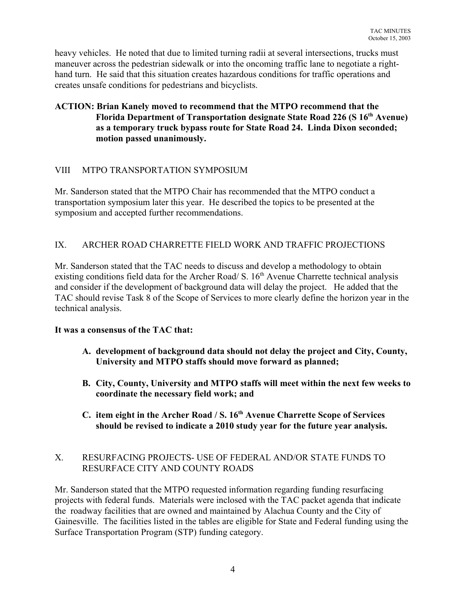heavy vehicles. He noted that due to limited turning radii at several intersections, trucks must maneuver across the pedestrian sidewalk or into the oncoming traffic lane to negotiate a righthand turn. He said that this situation creates hazardous conditions for traffic operations and creates unsafe conditions for pedestrians and bicyclists.

#### **ACTION: Brian Kanely moved to recommend that the MTPO recommend that the Florida Department of Transportation designate State Road 226 (S 16th Avenue) as a temporary truck bypass route for State Road 24. Linda Dixon seconded; motion passed unanimously.**

## VIII MTPO TRANSPORTATION SYMPOSIUM

Mr. Sanderson stated that the MTPO Chair has recommended that the MTPO conduct a transportation symposium later this year. He described the topics to be presented at the symposium and accepted further recommendations.

## IX. ARCHER ROAD CHARRETTE FIELD WORK AND TRAFFIC PROJECTIONS

Mr. Sanderson stated that the TAC needs to discuss and develop a methodology to obtain existing conditions field data for the Archer Road/ S.  $16<sup>th</sup>$  Avenue Charrette technical analysis and consider if the development of background data will delay the project. He added that the TAC should revise Task 8 of the Scope of Services to more clearly define the horizon year in the technical analysis.

#### **It was a consensus of the TAC that:**

- **A. development of background data should not delay the project and City, County, University and MTPO staffs should move forward as planned;**
- **B. City, County, University and MTPO staffs will meet within the next few weeks to coordinate the necessary field work; and**
- **C. item eight in the Archer Road / S. 16th Avenue Charrette Scope of Services should be revised to indicate a 2010 study year for the future year analysis.**

## X. RESURFACING PROJECTS- USE OF FEDERAL AND/OR STATE FUNDS TO RESURFACE CITY AND COUNTY ROADS

Mr. Sanderson stated that the MTPO requested information regarding funding resurfacing projects with federal funds. Materials were inclosed with the TAC packet agenda that indicate the roadway facilities that are owned and maintained by Alachua County and the City of Gainesville. The facilities listed in the tables are eligible for State and Federal funding using the Surface Transportation Program (STP) funding category.